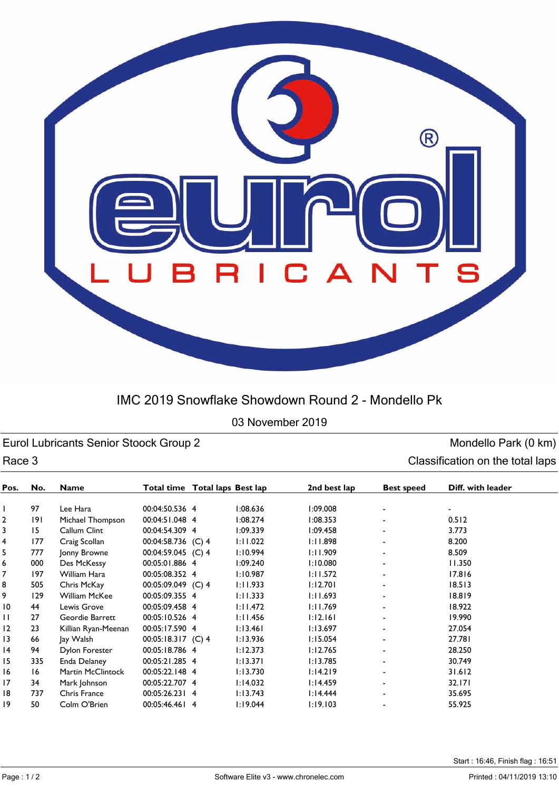

## IMC 2019 Snowflake Showdown Round 2 - Mondello Pk

03 November 2019

Eurol Lubricants Senior Stoock Group 2 and Senior Stoock Group 2 monoton control of the Mondello Park (0 km) Race 3 Classification on the total laps

| Pos.           | No. | <b>Name</b>         | Total time Total laps Best lap |          | 2nd best lap | <b>Best speed</b>        | Diff. with leader |
|----------------|-----|---------------------|--------------------------------|----------|--------------|--------------------------|-------------------|
|                |     |                     |                                |          |              |                          |                   |
|                | 97  | Lee Hara            | 00:04:50.536 4                 | 1:08.636 | 1:09.008     | $\blacksquare$           |                   |
| $\overline{2}$ | 191 | Michael Thompson    | 00:04:51.048 4                 | 1:08.274 | 1:08.353     |                          | 0.512             |
| 3              | 15  | Callum Clint        | 00:04:54.309 4                 | 1:09.339 | 1:09.458     |                          | 3.773             |
| 4              | 177 | Craig Scollan       | 00:04:58.736 (C) 4             | 1:11.022 | 1:11.898     | $\blacksquare$           | 8.200             |
| 5              | 777 | Jonny Browne        | 00:04:59.045 (C) 4             | 1:10.994 | 1:11.909     |                          | 8.509             |
| 6              | 000 | Des McKessy         | 00:05:01.886 4                 | 1:09.240 | 1:10.080     |                          | 11.350            |
| 7              | 197 | William Hara        | 00:05:08.352 4                 | 1:10.987 | 1:11.572     | ۰                        | 17.816            |
| 8              | 505 | Chris McKay         | 00:05:09.049 (C) 4             | 1:11.933 | 1:12.701     |                          | 18.513            |
| 9              | 129 | William McKee       | 00:05:09.355 4                 | 1:11.333 | 1:11.693     |                          | 18.819            |
| 10             | 44  | Lewis Grove         | 00:05:09.458 4                 | 1:11.472 | 1:11.769     |                          | 18.922            |
| П              | 27  | Geordie Barrett     | 00:05:10.526 4                 | 1:11.456 | 1:12.161     |                          | 19.990            |
| 12             | 23  | Killian Ryan-Meenan | 00:05:17.590 4                 | 1:13.461 | 1:13.697     |                          | 27.054            |
| 13             | 66  | Jay Walsh           | 00:05:18.317 (C) 4             | 1:13.936 | 1:15.054     | $\overline{\phantom{a}}$ | 27.781            |
| 14             | 94  | Dylon Forester      | 00:05:18.786 4                 | 1:12.373 | 1:12.765     | Ξ.                       | 28.250            |
| 15             | 335 | Enda Delaney        | 00:05:21.285 4                 | 1:13.371 | 1:13.785     |                          | 30.749            |
| 16             | 16  | Martin McClintock   | 00:05:22.148 4                 | 1:13.730 | 1:14.219     | $\blacksquare$           | 31.612            |
| 17             | 34  | Mark Johnson        | 00:05:22.707 4                 | 1:14.032 | 1:14.459     |                          | 32.171            |
| 18             | 737 | Chris France        | 00:05:26.231 4                 | 1:13.743 | 1:14.444     |                          | 35.695            |
| 19             | 50  | Colm O'Brien        | 00:05:46.461 4                 | 1:19.044 | 1:19.103     | ۰                        | 55.925            |
|                |     |                     |                                |          |              |                          |                   |